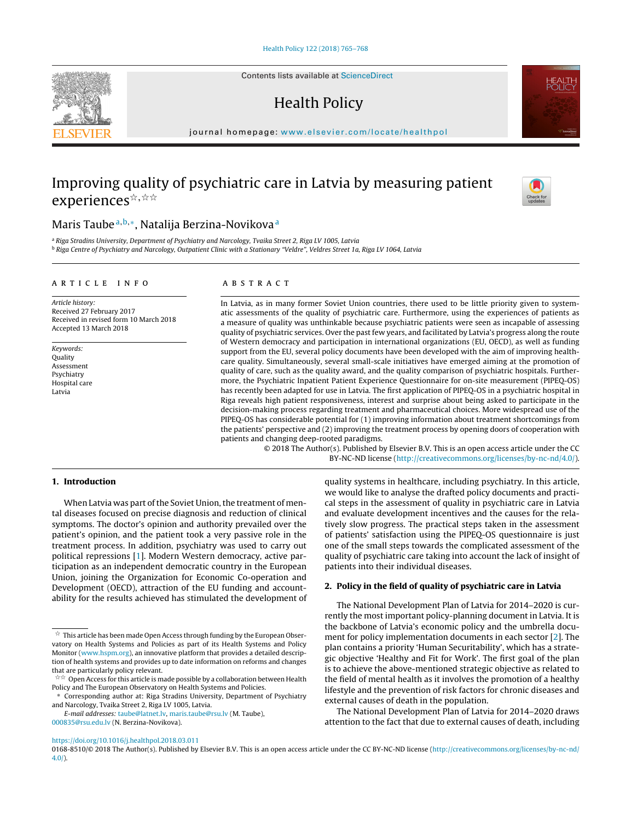Contents lists available at [ScienceDirect](http://www.sciencedirect.com/science/journal/01688510)

# Health Policy

iournal homepage: [www.elsevier.com/locate/healthpol](http://www.elsevier.com/locate/healthpol)

# Improving quality of psychiatric care in Latvia by measuring patient experiences\*,\*\*

# Maris Taube<sup>a, b,</sup>\*, Natalija Berzina-Novikova<sup>a</sup>

a Riga Stradins University, Department of Psychiatry and Narcology, Tvaika Street 2, Riga LV 1005, Latvia <sup>b</sup> Riga Centre of Psychiatry and Narcology, Outpatient Clinic with a Stationary "Veldre", Veldres Street 1a, Riga LV 1064, Latvia

#### a r t i c l e i n f o

Article history: Received 27 February 2017 Received in revised form 10 March 2018 Accepted 13 March 2018

Keywords: **Ouality** Assessment Psychiatry Hospital care Latvia

# A B S T R A C T

In Latvia, as in many former Soviet Union countries, there used to be little priority given to systematic assessments of the quality of psychiatric care. Furthermore, using the experiences of patients as a measure of quality was unthinkable because psychiatric patients were seen as incapable of assessing quality of psychiatric services. Over the past few years, and facilitated by Latvia's progress along the route of Western democracy and participation in international organizations (EU, OECD), as well as funding support from the EU, several policy documents have been developed with the aim of improving healthcare quality. Simultaneously, several small-scale initiatives have emerged aiming at the promotion of quality of care, such as the quality award, and the quality comparison of psychiatric hospitals. Furthermore, the Psychiatric Inpatient Patient Experience Questionnaire for on-site measurement (PIPEQ-OS) has recently been adapted for use in Latvia. The first application of PIPEQ-OS in a psychiatric hospital in Riga reveals high patient responsiveness, interest and surprise about being asked to participate in the decision-making process regarding treatment and pharmaceutical choices. More widespread use of the PIPEQ-OS has considerable potential for (1) improving information about treatment shortcomings from the patients' perspective and (2) improving the treatment process by opening doors of cooperation with patients and changing deep-rooted paradigms.

> © 2018 The Author(s). Published by Elsevier B.V. This is an open access article under the CC BY-NC-ND license [\(http://creativecommons.org/licenses/by-nc-nd/4.0/](http://creativecommons.org/licenses/by-nc-nd/4.0/)).

# **1. Introduction**

When Latvia was part of the Soviet Union, the treatment of mental diseases focused on precise diagnosis and reduction of clinical symptoms. The doctor's opinion and authority prevailed over the patient's opinion, and the patient took a very passive role in the treatment process. In addition, psychiatry was used to carry out political repressions [[1\].](#page-2-0) Modern Western democracy, active participation as an independent democratic country in the European Union, joining the Organization for Economic Co-operation and Development (OECD), attraction of the EU funding and accountability for the results achieved has stimulated the development of

 $^{\star\!\star\!\star}$  Open Access for this article is made possible by a collaboration between Health Policy and The European Observatory on Health Systems and Policies.

Corresponding author at: Riga Stradins University, Department of Psychiatry and Narcology, Tvaika Street 2, Riga LV 1005, Latvia.

E-mail addresses: [taube@latnet.lv](mailto:taube@latnet.lv), [maris.taube@rsu.lv](mailto:maris.taube@rsu.lv) (M. Taube), [000835@rsu.edu.lv](mailto:000835@rsu.edu.lv) (N. Berzina-Novikova).

quality systems in healthcare, including psychiatry. In this article, we would like to analyse the drafted policy documents and practical steps in the assessment of quality in psychiatric care in Latvia and evaluate development incentives and the causes for the relatively slow progress. The practical steps taken in the assessment of patients' satisfaction using the PIPEQ-OS questionnaire is just one of the small steps towards the complicated assessment of the quality of psychiatric care taking into account the lack of insight of patients into their individual diseases.

# **2. Policy in the field of quality of psychiatric care in Latvia**

The National Development Plan of Latvia for 2014–2020 is currently the most important policy-planning document in Latvia. It is the backbone of Latvia's economic policy and the umbrella document for policy implementation documents in each sector [\[2\].](#page-2-0) The plan contains a priority 'Human Securitability', which has a strategic objective 'Healthy and Fit for Work'. The first goal of the plan is to achieve the above-mentioned strategic objective as related to the field of mental health as it involves the promotion of a healthy lifestyle and the prevention of risk factors for chronic diseases and external causes of death in the population.

The National Development Plan of Latvia for 2014–2020 draws attention to the fact that due to external causes of death, including

0168-8510/© 2018 The Author(s). Published by Elsevier B.V. This is an open access article under the CC BY-NC-ND license ([http://creativecommons.org/licenses/by-nc-nd/](http://creativecommons.org/licenses/by-nc-nd/4.0/) [4.0/](http://creativecommons.org/licenses/by-nc-nd/4.0/)).





 $^\star$  This article has been made Open Access through funding by the European Observatory on Health Systems and Policies as part of its Health Systems and Policy Monitor ([www.hspm.org](http://www.hspm.org)), an innovative platform that provides a detailed description of health systems and provides up to date information on reforms and changes that are particularly policy relevant.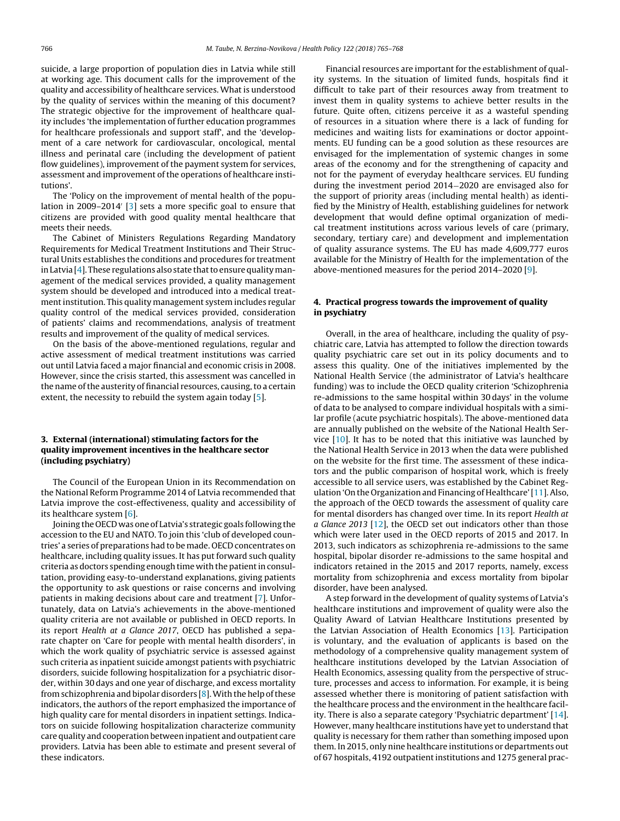suicide, a large proportion of population dies in Latvia while still at working age. This document calls for the improvement of the quality and accessibility of healthcare services. What is understood by the quality of services within the meaning of this document? The strategic objective for the improvement of healthcare quality includes 'the implementation of further education programmes for healthcare professionals and support staff', and the 'development of a care network for cardiovascular, oncological, mental illness and perinatal care (including the development of patient flow guidelines), improvement of the payment system for services, assessment and improvement of the operations of healthcare institutions'.

The 'Policy on the improvement of mental health of the population in 2009–2014'  $\lceil 3 \rceil$  sets a more specific goal to ensure that citizens are provided with good quality mental healthcare that meets their needs.

The Cabinet of Ministers Regulations Regarding Mandatory Requirements for Medical Treatment Institutions and Their Structural Units establishes the conditions and procedures for treatment in Latvia  $[4]$ . These regulations also state that to ensure quality management of the medical services provided, a quality management system should be developed and introduced into a medical treatment institution. This quality management system includes regular quality control of the medical services provided, consideration of patients' claims and recommendations, analysis of treatment results and improvement of the quality of medical services.

On the basis of the above-mentioned regulations, regular and active assessment of medical treatment institutions was carried out until Latvia faced a major financial and economic crisis in 2008. However, since the crisis started, this assessment was cancelled in the name of the austerity of financial resources, causing, to a certain extent, the necessity to rebuild the system again today [[5\].](#page-2-0)

# **3. External (international) stimulating factors for the quality improvement incentives in the healthcare sector (including psychiatry)**

The Council of the European Union in its Recommendation on the National Reform Programme 2014 of Latvia recommended that Latvia improve the cost-effectiveness, quality and accessibility of its healthcare system [[6\].](#page-2-0)

Joining the OECD was one of Latvia's strategic goals following the accession to the EU and NATO. To join this 'club of developed countries' a series of preparations had to be made. OECD concentrates on healthcare, including quality issues. It has put forward such quality criteria as doctors spending enough time with the patient in consultation, providing easy-to-understand explanations, giving patients the opportunity to ask questions or raise concerns and involving patients in making decisions about care and treatment [\[7\].](#page-2-0) Unfortunately, data on Latvia's achievements in the above-mentioned quality criteria are not available or published in OECD reports. In its report Health at a Glance 2017, OECD has published a separate chapter on 'Care for people with mental health disorders', in which the work quality of psychiatric service is assessed against such criteria as inpatient suicide amongst patients with psychiatric disorders, suicide following hospitalization for a psychiatric disorder, within 30 days and one year of discharge, and excess mortality from schizophrenia and bipolar disorders  $[8]$ . With the help of these indicators, the authors of the report emphasized the importance of high quality care for mental disorders in inpatient settings. Indicators on suicide following hospitalization characterize community care quality and cooperation between inpatient and outpatient care providers. Latvia has been able to estimate and present several of these indicators.

Financial resources are important for the establishment of quality systems. In the situation of limited funds, hospitals find it difficult to take part of their resources away from treatment to invest them in quality systems to achieve better results in the future. Quite often, citizens perceive it as a wasteful spending of resources in a situation where there is a lack of funding for medicines and waiting lists for examinations or doctor appointments. EU funding can be a good solution as these resources are envisaged for the implementation of systemic changes in some areas of the economy and for the strengthening of capacity and not for the payment of everyday healthcare services. EU funding during the investment period 2014−2020 are envisaged also for the support of priority areas (including mental health) as identified by the Ministry of Health, establishing guidelines for network development that would define optimal organization of medical treatment institutions across various levels of care (primary, secondary, tertiary care) and development and implementation of quality assurance systems. The EU has made 4,609,777 euros available for the Ministry of Health for the implementation of the above-mentioned measures for the period 2014–2020 [\[9\].](#page-2-0)

# **4. Practical progress towards the improvement of quality in psychiatry**

Overall, in the area of healthcare, including the quality of psychiatric care, Latvia has attempted to follow the direction towards quality psychiatric care set out in its policy documents and to assess this quality. One of the initiatives implemented by the National Health Service (the administrator of Latvia's healthcare funding) was to include the OECD quality criterion 'Schizophrenia re-admissions to the same hospital within 30 days' in the volume of data to be analysed to compare individual hospitals with a similar profile (acute psychiatric hospitals). The above-mentioned data are annually published on the website of the National Health Service  $[10]$ . It has to be noted that this initiative was launched by the National Health Service in 2013 when the data were published on the website for the first time. The assessment of these indicators and the public comparison of hospital work, which is freely accessible to all service users, was established by the Cabinet Regulation 'On the Organization and Financing of Healthcare'[[11\].](#page-3-0)Also, the approach of the OECD towards the assessment of quality care for mental disorders has changed over time. In its report Health at a Glance 2013 [\[12\],](#page-3-0) the OECD set out indicators other than those which were later used in the OECD reports of 2015 and 2017. In 2013, such indicators as schizophrenia re-admissions to the same hospital, bipolar disorder re-admissions to the same hospital and indicators retained in the 2015 and 2017 reports, namely, excess mortality from schizophrenia and excess mortality from bipolar disorder, have been analysed.

A step forward in the development of quality systems of Latvia's healthcare institutions and improvement of quality were also the Quality Award of Latvian Healthcare Institutions presented by the Latvian Association of Health Economics [[13\].](#page-3-0) Participation is voluntary, and the evaluation of applicants is based on the methodology of a comprehensive quality management system of healthcare institutions developed by the Latvian Association of Health Economics, assessing quality from the perspective of structure, processes and access to information. For example, it is being assessed whether there is monitoring of patient satisfaction with the healthcare process and the environment in the healthcare facility. There is also a separate category 'Psychiatric department' [\[14\].](#page-3-0) However, many healthcare institutions have yet to understand that quality is necessary for them rather than something imposed upon them. In 2015, only nine healthcare institutions or departments out of 67 hospitals, 4192 outpatient institutions and 1275 general prac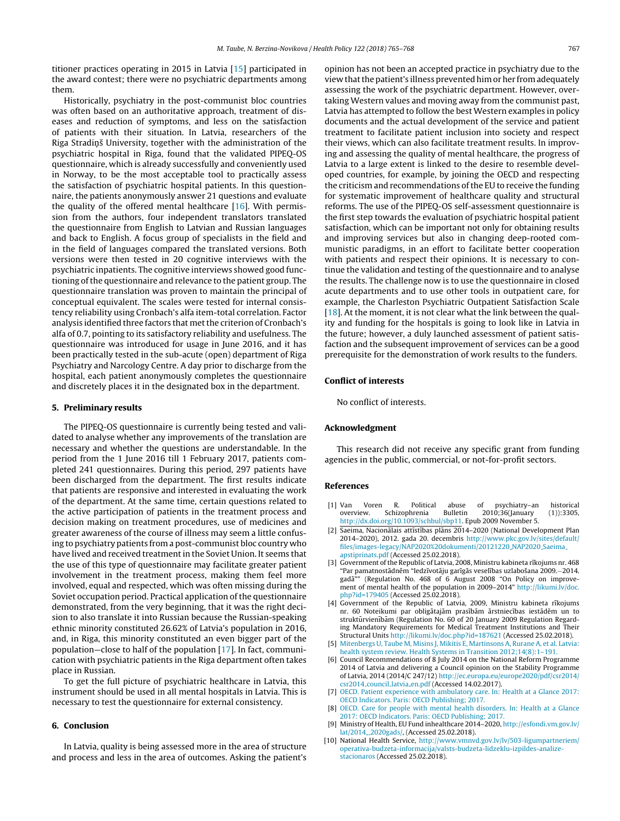<span id="page-2-0"></span>titioner practices operating in 2015 in Latvia [\[15\]](#page-3-0) participated in the award contest; there were no psychiatric departments among them.

Historically, psychiatry in the post-communist bloc countries was often based on an authoritative approach, treatment of diseases and reduction of symptoms, and less on the satisfaction of patients with their situation. In Latvia, researchers of the Riga Stradiņš University, together with the administration of the psychiatric hospital in Riga, found that the validated PIPEQ-OS questionnaire, which is already successfully and conveniently used in Norway, to be the most acceptable tool to practically assess the satisfaction of psychiatric hospital patients. In this questionnaire, the patients anonymously answer 21 questions and evaluate the quality of the offered mental healthcare [[16\].](#page-3-0) With permission from the authors, four independent translators translated the questionnaire from English to Latvian and Russian languages and back to English. A focus group of specialists in the field and in the field of languages compared the translated versions. Both versions were then tested in 20 cognitive interviews with the psychiatric inpatients. The cognitive interviews showed good functioning of the questionnaire and relevance to the patient group. The questionnaire translation was proven to maintain the principal of conceptual equivalent. The scales were tested for internal consistency reliability using Cronbach's alfa item-total correlation. Factor analysis identified three factors that met the criterion of Cronbach's alfa of 0.7, pointing to its satisfactory reliability and usefulness. The questionnaire was introduced for usage in June 2016, and it has been practically tested in the sub-acute (open) department of Riga Psychiatry and Narcology Centre. A day prior to discharge from the hospital, each patient anonymously completes the questionnaire and discretely places it in the designated box in the department.

### **5. Preliminary results**

The PIPEQ-OS questionnaire is currently being tested and validated to analyse whether any improvements of the translation are necessary and whether the questions are understandable. In the period from the 1 June 2016 till 1 February 2017, patients completed 241 questionnaires. During this period, 297 patients have been discharged from the department. The first results indicate that patients are responsive and interested in evaluating the work of the department. At the same time, certain questions related to the active participation of patients in the treatment process and decision making on treatment procedures, use of medicines and greater awareness of the course of illness may seem a little confusing to psychiatry patients from a post-communist bloc country who have lived and received treatment in the Soviet Union. It seems that the use of this type of questionnaire may facilitate greater patient involvement in the treatment process, making them feel more involved, equal and respected, which was often missing during the Soviet occupation period. Practical application of the questionnaire demonstrated, from the very beginning, that it was the right decision to also translate it into Russian because the Russian-speaking ethnic minority constituted 26.62% of Latvia's population in 2016, and, in Riga, this minority constituted an even bigger part of the population—close to half of the population [[17\].](#page-3-0) In fact, communication with psychiatric patients in the Riga department often takes place in Russian.

To get the full picture of psychiatric healthcare in Latvia, this instrument should be used in all mental hospitals in Latvia. This is necessary to test the questionnaire for external consistency.

# **6. Conclusion**

In Latvia, quality is being assessed more in the area of structure and process and less in the area of outcomes. Asking the patient's opinion has not been an accepted practice in psychiatry due to the view that the patient's illness prevented him or her from adequately assessing the work of the psychiatric department. However, overtaking Western values and moving away from the communist past, Latvia has attempted to follow the best Western examples in policy documents and the actual development of the service and patient treatment to facilitate patient inclusion into society and respect their views, which can also facilitate treatment results. In improving and assessing the quality of mental healthcare, the progress of Latvia to a large extent is linked to the desire to resemble developed countries, for example, by joining the OECD and respecting the criticism and recommendations of the EU to receive the funding for systematic improvement of healthcare quality and structural reforms. The use of the PIPEQ-OS self-assessment questionnaire is the first step towards the evaluation of psychiatric hospital patient satisfaction, which can be important not only for obtaining results and improving services but also in changing deep-rooted communistic paradigms, in an effort to facilitate better cooperation with patients and respect their opinions. It is necessary to continue the validation and testing of the questionnaire and to analyse the results. The challenge now is to use the questionnaire in closed acute departments and to use other tools in outpatient care, for example, the Charleston Psychiatric Outpatient Satisfaction Scale [ $18$ ]. At the moment, it is not clear what the link between the quality and funding for the hospitals is going to look like in Latvia in the future; however, a duly launched assessment of patient satisfaction and the subsequent improvement of services can be a good prerequisite for the demonstration of work results to the funders.

#### **Conflict of interests**

No conflict of interests.

### **Acknowledgment**

This research did not receive any specific grant from funding agencies in the public, commercial, or not-for-profit sectors.

### **References**

- [1] Van Voren R. Political abuse of psychiatry–an historical 2010:36(January (1)):3305, [http://dx.doi.org/10.1093/schbul/sbp11.](dx.doi.org/10.1093/schbul/sbp11) Epub 2009 November 5.
- [2] Saeima, Nacionālais attīstības plāns 2014–2020 (National Development Plan 2014–2020), 2012. gada 20. decembris [http://www.pkc.gov.lv/sites/default/](http://www.pkc.gov.lv/sites/default/files/images-legacy/NAP2020 dokumenti/20121220_NAP2020_Saeima_apstiprinats.pdf) [files/images-legacy/NAP2020%20dokumenti/20121220](http://www.pkc.gov.lv/sites/default/files/images-legacy/NAP2020 dokumenti/20121220_NAP2020_Saeima_apstiprinats.pdf) [NAP2020](http://www.pkc.gov.lv/sites/default/files/images-legacy/NAP2020 dokumenti/20121220_NAP2020_Saeima_apstiprinats.pdf) [Saeima](http://www.pkc.gov.lv/sites/default/files/images-legacy/NAP2020 dokumenti/20121220_NAP2020_Saeima_apstiprinats.pdf) [apstiprinats.pdf](http://www.pkc.gov.lv/sites/default/files/images-legacy/NAP2020 dokumenti/20121220_NAP2020_Saeima_apstiprinats.pdf) (Accessed 25.02.2018).
- [3] Government of the Republic of Latvia, 2008, Ministru kabineta rīkojums nr. 468 "Par pamatnostādnēm "Iedzīvotāju garīgās veselības uzlabošana 2009.−2014. gadā"" (Regulation No. 468 of 6 August 2008 "On Policy on improvement of mental health of the population in 2009–2014" [http://likumi.lv/doc.](http://likumi.lv/doc.php?id=179405) [php?id=179405](http://likumi.lv/doc.php?id=179405) (Accessed 25.02.2018).
- [4] Government of the Republic of Latvia, 2009, Ministru kabineta rīkojums nr. 60 Noteikumi par obligātajām prasībām ārstniecības iestādēm un to struktūrvienībām (Regulation No. 60 of 20 January 2009 Regulation Regarding Mandatory Requirements for Medical Treatment Institutions and Their Structural Units <http://likumi.lv/doc.php?id=187621> (Accessed 25.02.2018).
- [5] [Mitenbergs](http://refhub.elsevier.com/S0168-8510(18)30063-0/sbref0025) [U,](http://refhub.elsevier.com/S0168-8510(18)30063-0/sbref0025) [Taube](http://refhub.elsevier.com/S0168-8510(18)30063-0/sbref0025) [M,](http://refhub.elsevier.com/S0168-8510(18)30063-0/sbref0025) [Misins](http://refhub.elsevier.com/S0168-8510(18)30063-0/sbref0025) [J,](http://refhub.elsevier.com/S0168-8510(18)30063-0/sbref0025) [Mikitis](http://refhub.elsevier.com/S0168-8510(18)30063-0/sbref0025) [E,](http://refhub.elsevier.com/S0168-8510(18)30063-0/sbref0025) [Martinsons](http://refhub.elsevier.com/S0168-8510(18)30063-0/sbref0025) [A,](http://refhub.elsevier.com/S0168-8510(18)30063-0/sbref0025) [Rurane](http://refhub.elsevier.com/S0168-8510(18)30063-0/sbref0025) [A,](http://refhub.elsevier.com/S0168-8510(18)30063-0/sbref0025) [et](http://refhub.elsevier.com/S0168-8510(18)30063-0/sbref0025) [al.](http://refhub.elsevier.com/S0168-8510(18)30063-0/sbref0025) [Latvia:](http://refhub.elsevier.com/S0168-8510(18)30063-0/sbref0025) [health](http://refhub.elsevier.com/S0168-8510(18)30063-0/sbref0025) [system](http://refhub.elsevier.com/S0168-8510(18)30063-0/sbref0025) [review.](http://refhub.elsevier.com/S0168-8510(18)30063-0/sbref0025) [Health](http://refhub.elsevier.com/S0168-8510(18)30063-0/sbref0025) [Systems](http://refhub.elsevier.com/S0168-8510(18)30063-0/sbref0025) [in](http://refhub.elsevier.com/S0168-8510(18)30063-0/sbref0025) [Transition](http://refhub.elsevier.com/S0168-8510(18)30063-0/sbref0025) [2012;14\(8\):1](http://refhub.elsevier.com/S0168-8510(18)30063-0/sbref0025)–[191.](http://refhub.elsevier.com/S0168-8510(18)30063-0/sbref0025)
- [6] Council Recommendations of 8 July 2014 on the National Reform Programme 2014 of Latvia and delivering a Council opinion on the Stability Programme of Latvia, 2014 (2014/C 247/12) [http://ec.europa.eu/europe2020/pdf/csr2014/](http://ec.europa.eu/europe2020/pdf/csr2014/csr2014_council_latvia_en.pdf) [csr2014](http://ec.europa.eu/europe2020/pdf/csr2014/csr2014_council_latvia_en.pdf) [council](http://ec.europa.eu/europe2020/pdf/csr2014/csr2014_council_latvia_en.pdf) [latvia](http://ec.europa.eu/europe2020/pdf/csr2014/csr2014_council_latvia_en.pdf) [en.pdf](http://ec.europa.eu/europe2020/pdf/csr2014/csr2014_council_latvia_en.pdf) (Accessed 14.02.2017).
- [7] [OECD.](http://refhub.elsevier.com/S0168-8510(18)30063-0/sbref0035) [Patient](http://refhub.elsevier.com/S0168-8510(18)30063-0/sbref0035) [experience](http://refhub.elsevier.com/S0168-8510(18)30063-0/sbref0035) [with](http://refhub.elsevier.com/S0168-8510(18)30063-0/sbref0035) [ambulatory](http://refhub.elsevier.com/S0168-8510(18)30063-0/sbref0035) [care.](http://refhub.elsevier.com/S0168-8510(18)30063-0/sbref0035) [In:](http://refhub.elsevier.com/S0168-8510(18)30063-0/sbref0035) [Health](http://refhub.elsevier.com/S0168-8510(18)30063-0/sbref0035) [at](http://refhub.elsevier.com/S0168-8510(18)30063-0/sbref0035) [a](http://refhub.elsevier.com/S0168-8510(18)30063-0/sbref0035) [Glance](http://refhub.elsevier.com/S0168-8510(18)30063-0/sbref0035) [2017:](http://refhub.elsevier.com/S0168-8510(18)30063-0/sbref0035) [OECD](http://refhub.elsevier.com/S0168-8510(18)30063-0/sbref0035) [Indicators.](http://refhub.elsevier.com/S0168-8510(18)30063-0/sbref0035) [Paris:](http://refhub.elsevier.com/S0168-8510(18)30063-0/sbref0035) [OECD](http://refhub.elsevier.com/S0168-8510(18)30063-0/sbref0035) [Publishing;](http://refhub.elsevier.com/S0168-8510(18)30063-0/sbref0035) [2017.](http://refhub.elsevier.com/S0168-8510(18)30063-0/sbref0035)
- [8] [OECD.](http://refhub.elsevier.com/S0168-8510(18)30063-0/sbref0040) [Care](http://refhub.elsevier.com/S0168-8510(18)30063-0/sbref0040) [for](http://refhub.elsevier.com/S0168-8510(18)30063-0/sbref0040) [people](http://refhub.elsevier.com/S0168-8510(18)30063-0/sbref0040) [with](http://refhub.elsevier.com/S0168-8510(18)30063-0/sbref0040) [mental](http://refhub.elsevier.com/S0168-8510(18)30063-0/sbref0040) [health](http://refhub.elsevier.com/S0168-8510(18)30063-0/sbref0040) [disorders.](http://refhub.elsevier.com/S0168-8510(18)30063-0/sbref0040) [In:](http://refhub.elsevier.com/S0168-8510(18)30063-0/sbref0040) [Health](http://refhub.elsevier.com/S0168-8510(18)30063-0/sbref0040) [at](http://refhub.elsevier.com/S0168-8510(18)30063-0/sbref0040) [a](http://refhub.elsevier.com/S0168-8510(18)30063-0/sbref0040) [Glance](http://refhub.elsevier.com/S0168-8510(18)30063-0/sbref0040) [2017:](http://refhub.elsevier.com/S0168-8510(18)30063-0/sbref0040) [OECD](http://refhub.elsevier.com/S0168-8510(18)30063-0/sbref0040) [Indicators.](http://refhub.elsevier.com/S0168-8510(18)30063-0/sbref0040) [Paris:](http://refhub.elsevier.com/S0168-8510(18)30063-0/sbref0040) [OECD](http://refhub.elsevier.com/S0168-8510(18)30063-0/sbref0040) [Publishing;](http://refhub.elsevier.com/S0168-8510(18)30063-0/sbref0040) [2017.](http://refhub.elsevier.com/S0168-8510(18)30063-0/sbref0040)
- [9] Ministry of Health, EU Fund inhealthcare 2014–2020, [http://esfondi.vm.gov.lv/](http://esfondi.vm.gov.lv/lat/2014__2020gads/) [lat/2014](http://esfondi.vm.gov.lv/lat/2014__2020gads/) [2020gads/](http://esfondi.vm.gov.lv/lat/2014__2020gads/), (Accessed 25.02.2018).
- [10] National Health Service, [http://www.vmnvd.gov.lv/lv/503-ligumpartneriem/](http://www.vmnvd.gov.lv/lv/503-ligumpartneriem/operativa-budzeta-informacija/valsts-budzeta-lidzeklu-izpildes-analize-stacionaros) [operativa-budzeta-informacija/valsts-budzeta-lidzeklu-izpildes-analize](http://www.vmnvd.gov.lv/lv/503-ligumpartneriem/operativa-budzeta-informacija/valsts-budzeta-lidzeklu-izpildes-analize-stacionaros)[stacionaros](http://www.vmnvd.gov.lv/lv/503-ligumpartneriem/operativa-budzeta-informacija/valsts-budzeta-lidzeklu-izpildes-analize-stacionaros) (Accessed 25.02.2018).